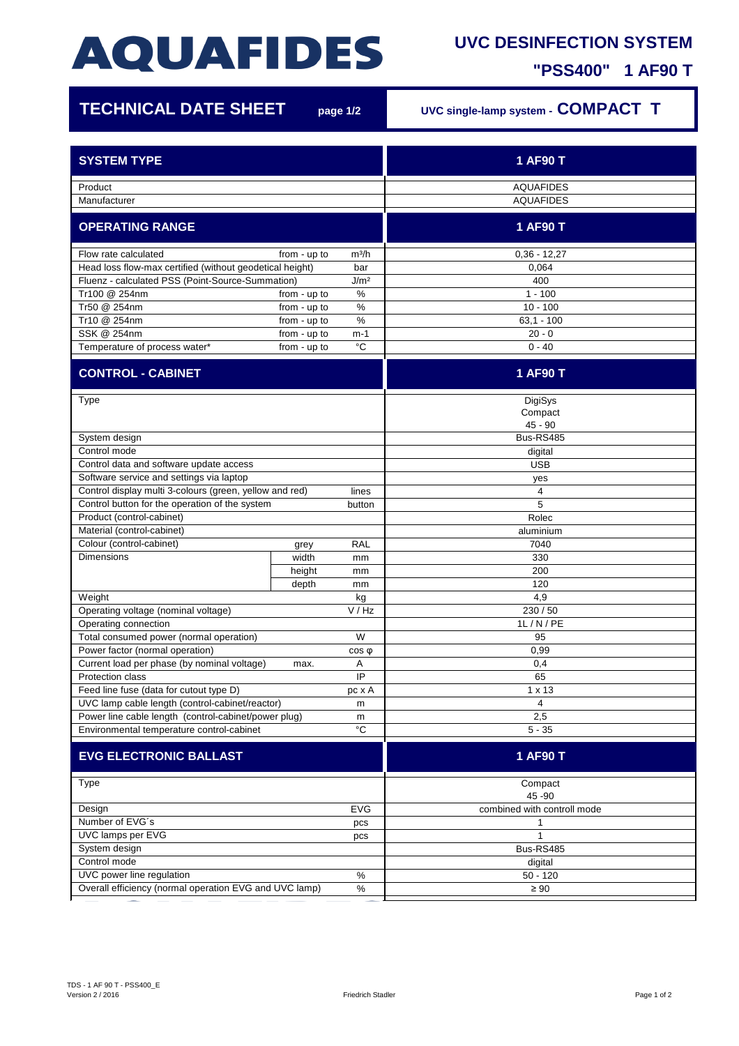## **AQUAFIDES**

## **UVC DESINFECTION SYSTEM**

**"PSS400" 1 AF90 T**

г

| <b>TECHNICAL DATE SHEET</b>                                          | page 1/2     | UVC single-lamp system - COMPACT T |                             |
|----------------------------------------------------------------------|--------------|------------------------------------|-----------------------------|
|                                                                      |              |                                    |                             |
| <b>SYSTEM TYPE</b>                                                   |              |                                    | 1 AF90 T                    |
|                                                                      |              |                                    |                             |
| Product                                                              |              |                                    | <b>AQUAFIDES</b>            |
| Manufacturer                                                         |              |                                    | <b>AQUAFIDES</b>            |
| <b>OPERATING RANGE</b>                                               |              |                                    | 1 AF90 T                    |
| Flow rate calculated                                                 | from - up to | m <sup>3</sup> /h                  | $0,36 - 12,27$              |
| Head loss flow-max certified (without geodetical height)<br>bar      |              |                                    | 0,064                       |
| J/m <sup>2</sup><br>Fluenz - calculated PSS (Point-Source-Summation) |              |                                    | 400                         |
| Tr100 @ 254nm                                                        | from - up to | $\%$                               | $1 - 100$                   |
| Tr50 @ 254nm                                                         | from - up to | %                                  | $10 - 100$                  |
| Tr10 @ 254nm                                                         | from - up to | $\%$                               | $63,1 - 100$                |
| SSK @ 254nm                                                          | from - up to | $m-1$                              | $20 - 0$                    |
| Temperature of process water*                                        | from - up to | °C                                 | $0 - 40$                    |
| <b>CONTROL - CABINET</b>                                             |              |                                    | 1 AF90 T                    |
|                                                                      |              |                                    |                             |
| Type                                                                 |              |                                    | DigiSys                     |
|                                                                      |              |                                    | Compact                     |
|                                                                      |              |                                    | $45 - 90$                   |
| System design<br>Control mode                                        |              |                                    | Bus-RS485                   |
|                                                                      |              |                                    | digital                     |
| Control data and software update access                              |              |                                    | <b>USB</b>                  |
| Software service and settings via laptop                             |              |                                    | yes                         |
| Control display multi 3-colours (green, yellow and red)              |              | lines                              | 4                           |
| Control button for the operation of the system                       |              | button                             | 5                           |
| Product (control-cabinet)                                            |              |                                    | Rolec                       |
| Material (control-cabinet)                                           |              |                                    | aluminium                   |
| Colour (control-cabinet)                                             | grey         | <b>RAL</b>                         | 7040                        |
| <b>Dimensions</b>                                                    | width        | mm                                 | 330                         |
|                                                                      | height       | mm                                 | 200                         |
|                                                                      | depth        | mm                                 | 120                         |
| Weight<br>kg                                                         |              |                                    | 4,9                         |
| Operating voltage (nominal voltage)<br>V/Hz                          |              |                                    | 230 / 50                    |
| Operating connection                                                 |              |                                    | 1L/N/PE                     |
| Total consumed power (normal operation)                              |              | W                                  | 95                          |
| Power factor (normal operation)<br>$cos \phi$                        |              |                                    | 0,99                        |
| Current load per phase (by nominal voltage)<br>max.                  |              | A                                  | 0,4                         |
| Protection class                                                     |              | IP                                 | 65                          |
| Feed line fuse (data for cutout type D)<br>pc x A                    |              |                                    | $1 \times 13$               |
| UVC lamp cable length (control-cabinet/reactor)<br>m                 |              |                                    | 4                           |
| Power line cable length (control-cabinet/power plug)<br>m            |              |                                    | 2,5                         |
| Environmental temperature control-cabinet                            |              | $^{\circ}{\rm C}$                  | $5 - 35$                    |
| <b>EVG ELECTRONIC BALLAST</b>                                        |              | 1 AF90 T                           |                             |
| <b>Type</b>                                                          |              |                                    | Compact                     |
|                                                                      |              |                                    | 45 - 90                     |
| <b>EVG</b><br>Design                                                 |              |                                    | combined with controll mode |
| Number of EVG's<br>pcs                                               |              |                                    | 1                           |
| UVC lamps per EVG<br>pcs                                             |              |                                    | $\mathbf{1}$                |
| System design                                                        |              |                                    | Bus-RS485                   |
| Control mode                                                         |              |                                    | digital                     |
| UVC power line regulation<br>$\%$                                    |              |                                    | $50 - 120$                  |
| Overall efficiency (normal operation EVG and UVC lamp)<br>$\%$       |              |                                    | $\geq 90$                   |